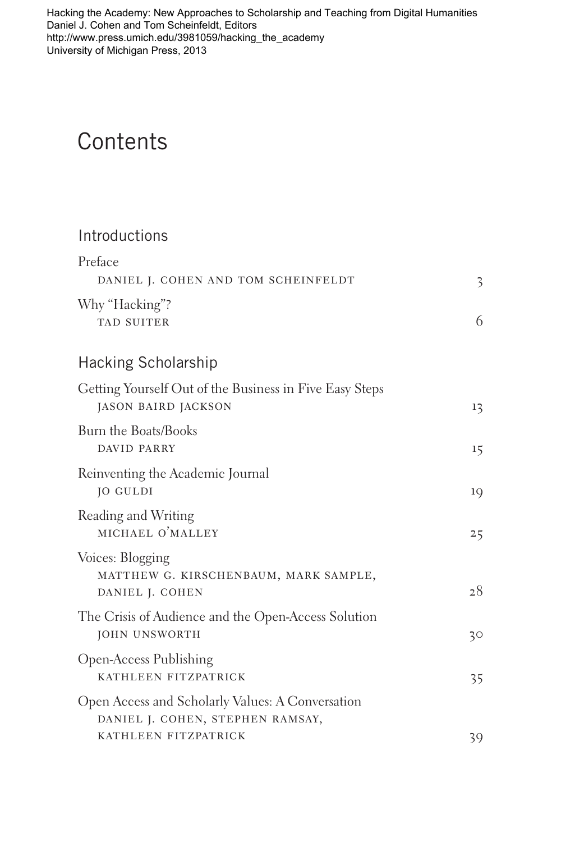[Hacking the Academy: New Approaches to Scholarship and Teaching from Digital Humanities](http://www.press.umich.edu/3981059/hacking_the_academy)  Daniel J. Cohen and Tom Scheinfeldt, Editors http://www.press.umich.edu/3981059/hacking\_the\_academy University of Michigan Press, 2013

## **Contents**

## Introductions

| Preface                                                                              |    |
|--------------------------------------------------------------------------------------|----|
| DANIEL J. COHEN AND TOM SCHEINFELDT                                                  | 3  |
| Why "Hacking"?<br><b>TAD SUITER</b>                                                  | 6  |
| Hacking Scholarship                                                                  |    |
| Getting Yourself Out of the Business in Five Easy Steps<br>JASON BAIRD JACKSON       | 13 |
| Burn the Boats/Books<br>DAVID PARRY                                                  | 15 |
| Reinventing the Academic Journal<br>JO GULDI                                         | 19 |
| Reading and Writing<br>MICHAEL O'MALLEY                                              | 25 |
| Voices: Blogging<br>MATTHEW G. KIRSCHENBAUM, MARK SAMPLE,<br>DANIEL J. COHEN         | 28 |
| The Crisis of Audience and the Open-Access Solution<br>JOHN UNSWORTH                 | 30 |
| Open-Access Publishing<br>KATHLEEN FITZPATRICK                                       | 35 |
| Open Access and Scholarly Values: A Conversation<br>DANIEL J. COHEN, STEPHEN RAMSAY, |    |
| KATHLEEN FITZPATRICK                                                                 | 39 |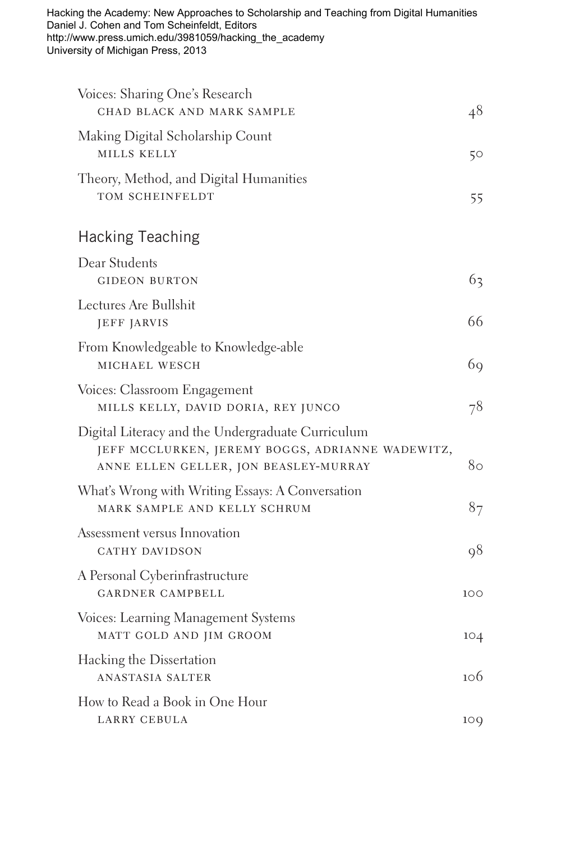Hacking the Academy: New Approaches to Scholarship and Teaching from Digital Humanities Daniel J. Cohen and Tom Scheinfeldt, Editors http://www.press.umich.edu/3981059/hacking\_the\_academy University of Michigan Press, 2013

| Voices: Sharing One's Research<br>CHAD BLACK AND MARK SAMPLE                                                                                   | 48  |
|------------------------------------------------------------------------------------------------------------------------------------------------|-----|
| Making Digital Scholarship Count<br>MILLS KELLY                                                                                                | 50  |
| Theory, Method, and Digital Humanities<br>TOM SCHEINFELDT                                                                                      | 55  |
| <b>Hacking Teaching</b>                                                                                                                        |     |
| Dear Students<br><b>GIDEON BURTON</b>                                                                                                          | 63  |
| Lectures Are Bullshit<br>JEFF JARVIS                                                                                                           | 66  |
| From Knowledgeable to Knowledge-able<br>MICHAEL WESCH                                                                                          | 69  |
| Voices: Classroom Engagement<br>MILLS KELLY, DAVID DORIA, REY JUNCO                                                                            | 78  |
| Digital Literacy and the Undergraduate Curriculum<br>JEFF MCCLURKEN, JEREMY BOGGS, ADRIANNE WADEWITZ,<br>ANNE ELLEN GELLER, JON BEASLEY-MURRAY | 80  |
| What's Wrong with Writing Essays: A Conversation<br>MARK SAMPLE AND KELLY SCHRUM                                                               | 87  |
| Assessment versus Innovation<br>CATHY DAVIDSON                                                                                                 | 98  |
| A Personal Cyberinfrastructure<br><b>GARDNER CAMPBELL</b>                                                                                      | 100 |
| Voices: Learning Management Systems<br>MATT GOLD AND JIM GROOM                                                                                 | 104 |
| Hacking the Dissertation<br><b>ANASTASIA SALTER</b>                                                                                            | 106 |
| How to Read a Book in One Hour<br>LARRY CEBULA                                                                                                 | 10Q |